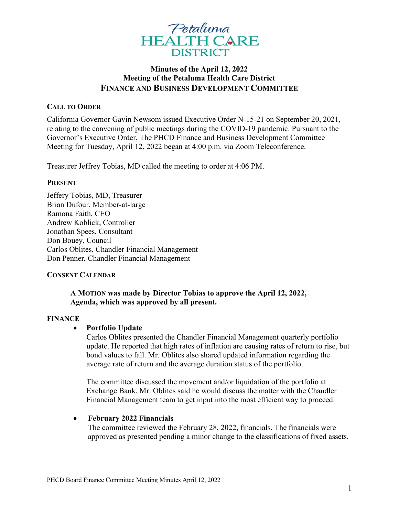

# Minutes of the April 12, 2022 Meeting of the Petaluma Health Care District FINANCE AND BUSINESS DEVELOPMENT COMMITTEE

# CALL TO ORDER

California Governor Gavin Newsom issued Executive Order N-15-21 on September 20, 2021, relating to the convening of public meetings during the COVID-19 pandemic. Pursuant to the Governor's Executive Order, The PHCD Finance and Business Development Committee Meeting for Tuesday, April 12, 2022 began at 4:00 p.m. via Zoom Teleconference.

Treasurer Jeffrey Tobias, MD called the meeting to order at 4:06 PM.

#### PRESENT

Jeffery Tobias, MD, Treasurer Brian Dufour, Member-at-large Ramona Faith, CEO Andrew Koblick, Controller Jonathan Spees, Consultant Don Bouey, Council Carlos Oblites, Chandler Financial Management Don Penner, Chandler Financial Management

# CONSENT CALENDAR

# A MOTION was made by Director Tobias to approve the April 12, 2022, Agenda, which was approved by all present.

#### FINANCE

# Portfolio Update

Carlos Oblites presented the Chandler Financial Management quarterly portfolio update. He reported that high rates of inflation are causing rates of return to rise, but bond values to fall. Mr. Oblites also shared updated information regarding the average rate of return and the average duration status of the portfolio.

The committee discussed the movement and/or liquidation of the portfolio at Exchange Bank. Mr. Oblites said he would discuss the matter with the Chandler Financial Management team to get input into the most efficient way to proceed.

# • February 2022 Financials

The committee reviewed the February 28, 2022, financials. The financials were approved as presented pending a minor change to the classifications of fixed assets.